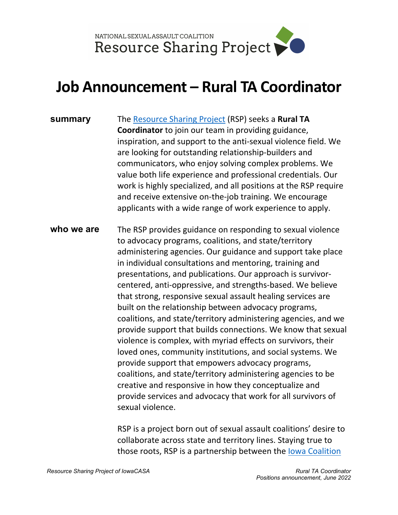

## **Job Announcement – Rural TA Coordinator**

**summary** The [Resource Sharing Project](https://resourcesharingproject.org/) (RSP) seeks a **Rural TA Coordinator** to join our team in providing guidance, inspiration, and support to the anti-sexual violence field. We are looking for outstanding relationship-builders and communicators, who enjoy solving complex problems. We value both life experience and professional credentials. Our work is highly specialized, and all positions at the RSP require and receive extensive on-the-job training. We encourage applicants with a wide range of work experience to apply.

**who we are** The RSP provides guidance on responding to sexual violence to advocacy programs, coalitions, and state/territory administering agencies. Our guidance and support take place in individual consultations and mentoring, training and presentations, and publications. Our approach is survivorcentered, anti-oppressive, and strengths-based. We believe that strong, responsive sexual assault healing services are built on the relationship between advocacy programs, coalitions, and state/territory administering agencies, and we provide support that builds connections. We know that sexual violence is complex, with myriad effects on survivors, their loved ones, community institutions, and social systems. We provide support that empowers advocacy programs, coalitions, and state/territory administering agencies to be creative and responsive in how they conceptualize and provide services and advocacy that work for all survivors of sexual violence.

> RSP is a project born out of sexual assault coalitions' desire to collaborate across state and territory lines. Staying true to those roots, RSP is a partnership between the [Iowa Coalition](https://www.iowacasa.org/)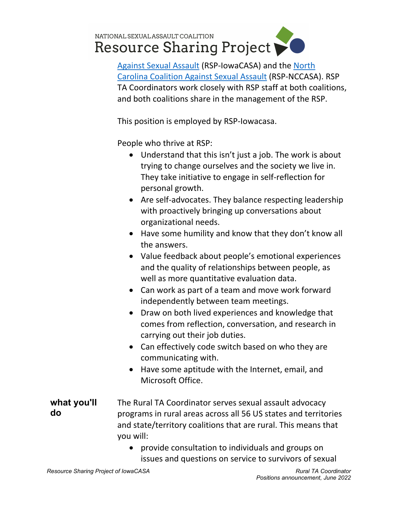## NATIONAL SEXUAL ASSAULT COALITION Resource Sharing Project

[Against Sexual Assault](https://www.iowacasa.org/) (RSP-IowaCASA) and the [North](https://nccasa.org/)  [Carolina Coalition Against Sexual Assault](https://nccasa.org/) (RSP-NCCASA). RSP TA Coordinators work closely with RSP staff at both coalitions, and both coalitions share in the management of the RSP.

This position is employed by RSP-Iowacasa.

People who thrive at RSP:

- Understand that this isn't just a job. The work is about trying to change ourselves and the society we live in. They take initiative to engage in self-reflection for personal growth.
- Are self-advocates. They balance respecting leadership with proactively bringing up conversations about organizational needs.
- Have some humility and know that they don't know all the answers.
- Value feedback about people's emotional experiences and the quality of relationships between people, as well as more quantitative evaluation data.
- Can work as part of a team and move work forward independently between team meetings.
- Draw on both lived experiences and knowledge that comes from reflection, conversation, and research in carrying out their job duties.
- Can effectively code switch based on who they are communicating with.
- Have some aptitude with the Internet, email, and Microsoft Office.
- **what you'll do** The Rural TA Coordinator serves sexual assault advocacy programs in rural areas across all 56 US states and territories and state/territory coalitions that are rural. This means that you will:
	- provide consultation to individuals and groups on issues and questions on service to survivors of sexual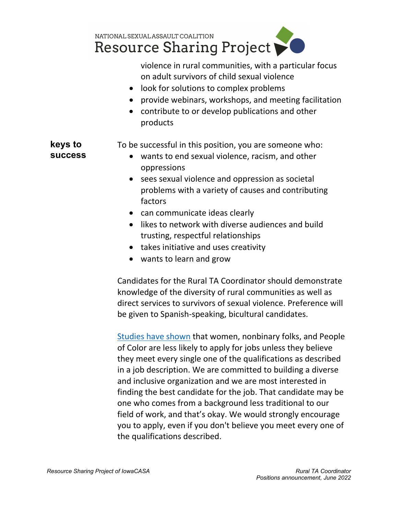

violence in rural communities, with a particular focus on adult survivors of child sexual violence

- look for solutions to complex problems
- provide webinars, workshops, and meeting facilitation
- contribute to or develop publications and other products

**keys to success** To be successful in this position, you are someone who:

- wants to end sexual violence, racism, and other oppressions
- sees sexual violence and oppression as societal problems with a variety of causes and contributing factors
- can communicate ideas clearly
- likes to network with diverse audiences and build trusting, respectful relationships
- takes initiative and uses creativity
- wants to learn and grow

Candidates for the Rural TA Coordinator should demonstrate knowledge of the diversity of rural communities as well as direct services to survivors of sexual violence. Preference will be given to Spanish-speaking, bicultural candidates.

[Studies have shown](https://antiracisthr.guide/) that women, nonbinary folks, and People of Color are less likely to apply for jobs unless they believe they meet every single one of the qualifications as described in a job description. We are committed to building a diverse and inclusive organization and we are most interested in finding the best candidate for the job. That candidate may be one who comes from a background less traditional to our field of work, and that's okay. We would strongly encourage you to apply, even if you don't believe you meet every one of the qualifications described.